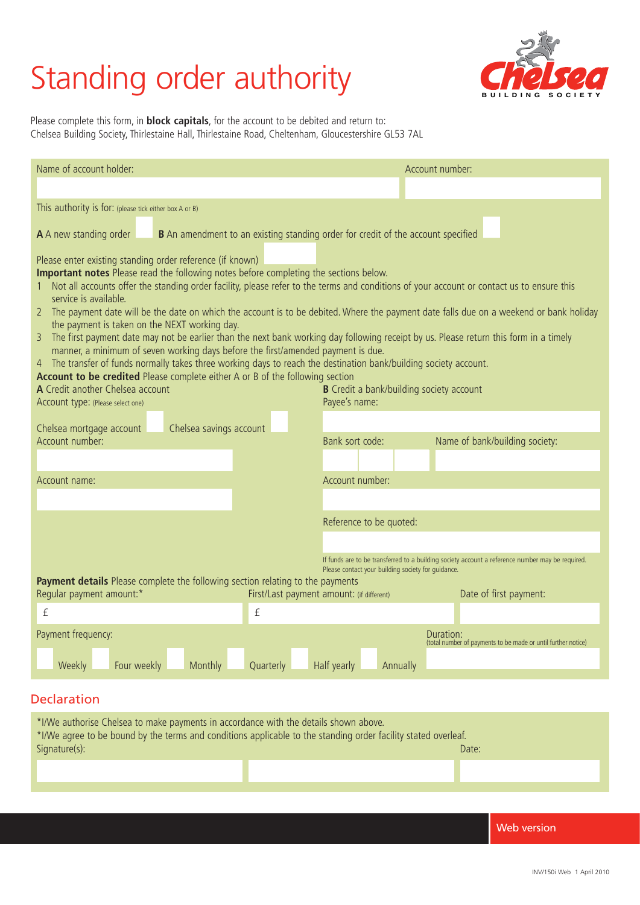# **Standing order authority**



Please complete this form, in **block capitals**, for the account to be debited and return to: Chelsea Building Society, Thirlestaine Hall, Thirlestaine Road, Cheltenham, Gloucestershire GL53 7AL

| Name of account holder:                                                                                                                                                                                                                                                                                                                                                                                                                                                                                                                                                                                                                                                                                                                                                                                                                                                                                                                                                                                                                                                                                    | Account number:                                                            |  |  |
|------------------------------------------------------------------------------------------------------------------------------------------------------------------------------------------------------------------------------------------------------------------------------------------------------------------------------------------------------------------------------------------------------------------------------------------------------------------------------------------------------------------------------------------------------------------------------------------------------------------------------------------------------------------------------------------------------------------------------------------------------------------------------------------------------------------------------------------------------------------------------------------------------------------------------------------------------------------------------------------------------------------------------------------------------------------------------------------------------------|----------------------------------------------------------------------------|--|--|
|                                                                                                                                                                                                                                                                                                                                                                                                                                                                                                                                                                                                                                                                                                                                                                                                                                                                                                                                                                                                                                                                                                            |                                                                            |  |  |
| This authority is for: (please tick either box A or B)                                                                                                                                                                                                                                                                                                                                                                                                                                                                                                                                                                                                                                                                                                                                                                                                                                                                                                                                                                                                                                                     |                                                                            |  |  |
| A A new standing order<br><b>B</b> An amendment to an existing standing order for credit of the account specified                                                                                                                                                                                                                                                                                                                                                                                                                                                                                                                                                                                                                                                                                                                                                                                                                                                                                                                                                                                          |                                                                            |  |  |
| Please enter existing standing order reference (if known)<br>Important notes Please read the following notes before completing the sections below.<br>Not all accounts offer the standing order facility, please refer to the terms and conditions of your account or contact us to ensure this<br>service is available.<br>2 The payment date will be the date on which the account is to be debited. Where the payment date falls due on a weekend or bank holiday<br>the payment is taken on the NEXT working day.<br>The first payment date may not be earlier than the next bank working day following receipt by us. Please return this form in a timely<br>3<br>manner, a minimum of seven working days before the first/amended payment is due.<br>4 The transfer of funds normally takes three working days to reach the destination bank/building society account.<br>Account to be credited Please complete either A or B of the following section<br>A Credit another Chelsea account<br><b>B</b> Credit a bank/building society account<br>Payee's name:<br>Account type: (Please select one) |                                                                            |  |  |
| Chelsea mortgage account<br>Chelsea savings account<br>Bank sort code:<br>Account number:                                                                                                                                                                                                                                                                                                                                                                                                                                                                                                                                                                                                                                                                                                                                                                                                                                                                                                                                                                                                                  | Name of bank/building society:                                             |  |  |
| Account number:<br>Account name:                                                                                                                                                                                                                                                                                                                                                                                                                                                                                                                                                                                                                                                                                                                                                                                                                                                                                                                                                                                                                                                                           |                                                                            |  |  |
| Reference to be quoted:                                                                                                                                                                                                                                                                                                                                                                                                                                                                                                                                                                                                                                                                                                                                                                                                                                                                                                                                                                                                                                                                                    |                                                                            |  |  |
| If funds are to be transferred to a building society account a reference number may be required.<br>Please contact your building society for guidance.<br>Payment details Please complete the following section relating to the payments<br>Regular payment amount:*<br>First/Last payment amount: (if different)<br>Date of first payment:                                                                                                                                                                                                                                                                                                                                                                                                                                                                                                                                                                                                                                                                                                                                                                |                                                                            |  |  |
| $\mathbf{f}$<br>£                                                                                                                                                                                                                                                                                                                                                                                                                                                                                                                                                                                                                                                                                                                                                                                                                                                                                                                                                                                                                                                                                          |                                                                            |  |  |
| Payment frequency:<br>Four weekly<br>Monthly<br>Half yearly<br>Weekly<br>Quarterly<br>Annually                                                                                                                                                                                                                                                                                                                                                                                                                                                                                                                                                                                                                                                                                                                                                                                                                                                                                                                                                                                                             | Duration:<br>(total number of payments to be made or until further notice) |  |  |
|                                                                                                                                                                                                                                                                                                                                                                                                                                                                                                                                                                                                                                                                                                                                                                                                                                                                                                                                                                                                                                                                                                            |                                                                            |  |  |

### Declaration

| *I/We authorise Chelsea to make payments in accordance with the details shown above.<br>*I/We agree to be bound by the terms and conditions applicable to the standing order facility stated overleaf. |  |       |  |
|--------------------------------------------------------------------------------------------------------------------------------------------------------------------------------------------------------|--|-------|--|
| Signature(s):                                                                                                                                                                                          |  | Date: |  |
|                                                                                                                                                                                                        |  |       |  |
|                                                                                                                                                                                                        |  |       |  |

Web version